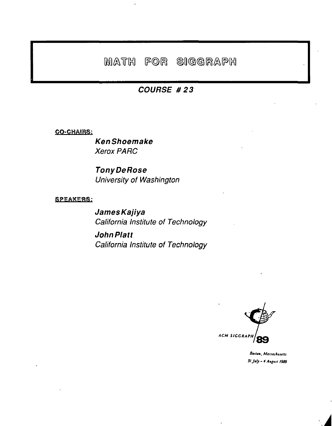# MATH FOR SIGGRAPH

### **COURSE #23**

### **CO-CHAIRS:**

**KenShoemake Xerox PARC** 

**Tony DeRose** University of Washington

**SPEAKERS:** 

**James Kajiya** California Institute of Technology

**John Platt** California Institute of Technology



Boston, Massachusetts 31 July - 4 August 1989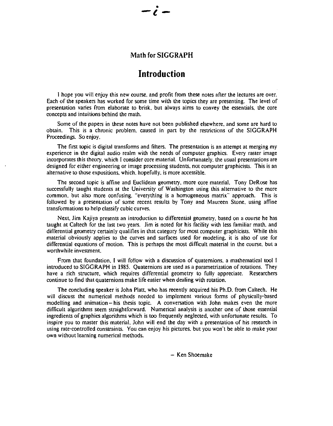#### **Math for SIGGRAPH**

### **Introduction**

I hope you will enjoy this new course. and profit from these notes after the lectures are over. Each of the speakers has worked for some time with the topics they are presenting. The level of presentation varies from elaborate to brisk. but always aims to convey the essentials. the core concepts and intuitions behind the math.

Some of the papers in these notes have not been published elsewhere. and some are hard to obtain. This is a chronic problem. caused in part by the restrictions of the SIGGRAPH Proceedings. So enjoy.

The first topic is digital transforms and filters. The presentation is an attempt at merging my experience in the digital audio realm with the needs of computer graphics. Every raster image incorporates this theory, which I consider core material. Unfortunately. the usual presentations are designed for either engineering or image processing students. not computer graphicists. This is an alternative to those expositions. which. hopefully. is more accessible.

The second topic is affine and Euclidean geometry, more core material. Tony DeRose has successfully taught students at the University of Washington using this alternative to the more common. but also more confusing. "everything is a homogeneous matrix" approach. This is followed by a presentation of some recent results by Tony and Maureen Stone. using affine transformations to help classify cubic curves.

Next. Jim Kajiya presents an introduction to differential geometry, based on a course he has taught at Caltech for the last two years. Jim is noted for his facility with less familiar math. and differential geometry certainly qualifies in that category for most computer graphicists. While this material obviously applies to the curves and surfaces used for modeling, it is also of use for differential equations of motion. This is perhaps the most difficult material in the course. but a worthwhile investment.

From that foundation. I will follow with a discussion of quatemions. a mathematical tool I introduced to SIGGRAPH in 1985. Quaternions are used as a parametrization of rotations. They have a rich structure. which requires differential geometry to fully appreciate. Researchers continue to find that quaternions make life easier when dealing with rotation.

The concluding speaker is John Platt. who has recently acquired his Ph.D. from Caltech. He will discuss the numerical methods needed to implement various forms of physically-based modelling and animation- his thesis topic. A conversation with John makes even the more difficult algorithms seem straightforward. Numerical analysis is another one of those essential ingredients of graphics algorithms which is too frequently neglected. with unfortunate results. To inspire you to master this material. John will end the day with a presentation of his research in using rate-controlled constraints. You can enjoy his pictures. but you won't be able to make your own without learning numerical methods.

- Ken Shoemake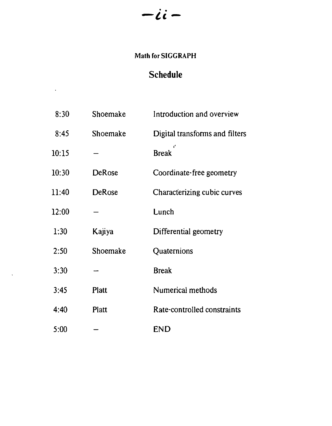# $-ii -$

## Math for SIGGRAPH

## **Schedule**

 $\sim$ 

| 8:30  | Shoemake      | Introduction and overview      |
|-------|---------------|--------------------------------|
| 8:45  | Shoemake      | Digital transforms and filters |
| 10:15 |               | <b>Break</b>                   |
| 10:30 | DeRose        | Coordinate-free geometry       |
| 11:40 | <b>DeRose</b> | Characterizing cubic curves    |
| 12:00 |               | Lunch                          |
| 1:30  | Kajiya        | Differential geometry          |
| 2:50  | Shoemake      | Quaternions                    |
| 3:30  |               | <b>Break</b>                   |
| 3.45  | Platt         | Numerical methods              |
| 4:40  | Platt         | Rate-controlled constraints    |
| 5:00  |               | <b>END</b>                     |